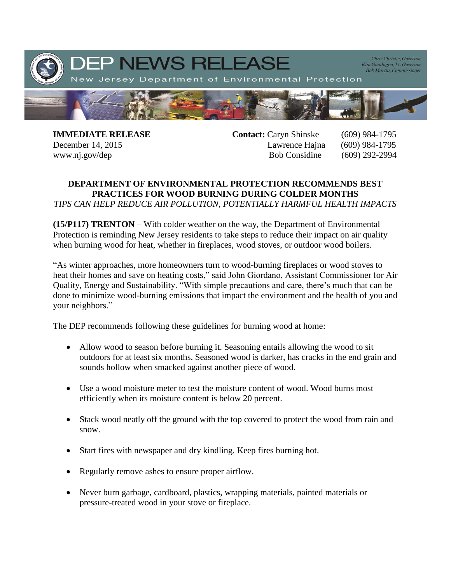

**IMMEDIATE RELEASE Contact:** Caryn Shinske (609) 984-1795 December 14, 2015 Lawrence Hajna (609) 984-1795 www.nj.gov/dep Bob Considine (609) 292-2994

## **DEPARTMENT OF ENVIRONMENTAL PROTECTION RECOMMENDS BEST PRACTICES FOR WOOD BURNING DURING COLDER MONTHS** *TIPS CAN HELP REDUCE AIR POLLUTION, POTENTIALLY HARMFUL HEALTH IMPACTS*

**(15/P117) TRENTON** – With colder weather on the way, the Department of Environmental Protection is reminding New Jersey residents to take steps to reduce their impact on air quality when burning wood for heat, whether in fireplaces, wood stoves, or outdoor wood boilers.

"As winter approaches, more homeowners turn to wood-burning fireplaces or wood stoves to heat their homes and save on heating costs," said John Giordano, Assistant Commissioner for Air Quality, Energy and Sustainability. "With simple precautions and care, there's much that can be done to minimize wood-burning emissions that impact the environment and the health of you and your neighbors."

The DEP recommends following these guidelines for burning wood at home:

- Allow wood to season before burning it. Seasoning entails allowing the wood to sit outdoors for at least six months. Seasoned wood is darker, has cracks in the end grain and sounds hollow when smacked against another piece of wood.
- Use a wood moisture meter to test the moisture content of wood. Wood burns most efficiently when its moisture content is below 20 percent.
- Stack wood neatly off the ground with the top covered to protect the wood from rain and snow.
- Start fires with newspaper and dry kindling. Keep fires burning hot.
- Regularly remove ashes to ensure proper airflow.
- Never burn garbage, cardboard, plastics, wrapping materials, painted materials or pressure-treated wood in your stove or fireplace.